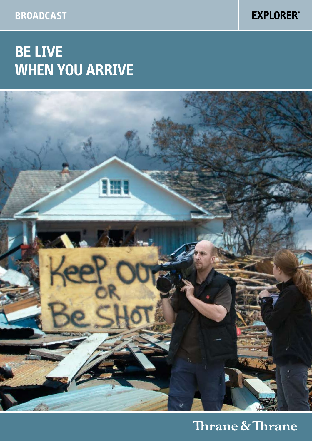**Broadcast**

**EXPLORER®** 

# **Be live when you arrive**



## Thrane & Thrane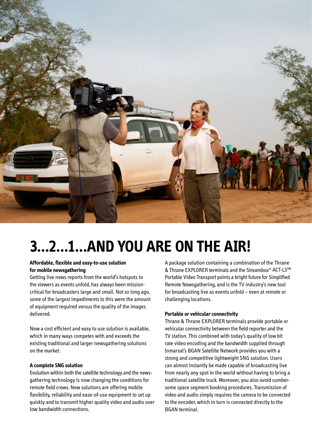

# **3…2…1…AND YOU ARE ON THE AIR!**

#### **Affordable, flexible and easy-to-use solution for mobile newsgathering**

Getting live news reports from the world's hotspots to the viewers as events unfold, has always been missioncritical for broadcasters large and small. Not so long ago, some of the largest impediments to this were the amount of equipment required versus the quality of the images delivered.

Now a cost efficient and easy to use solution is available, which in many ways competes with and exceeds the existing traditional and larger newsgathering solutions on the market.

#### **A complete SNG solution**

Evolution within both the satellite technology and the newsgathering technology is now changing the conditions for remote field crews. New solutions are offering mobile flexibility, reliability and ease-of-use equipment to set up quickly and to transmit higher quality video and audio over low bandwidth connections.

A package solution containing a combination of the Thrane & Thrane EXPLORER terminals and the Streambox® ACT-L3™ Portable Video Transport points a bright future for Simplified Remote Newsgathering, and is the TV industry's new tool for broadcasting live as events unfold – even at remote or challenging locations.

#### **Portable or vehicular connectivity**

Thrane & Thrane EXPLORER terminals provide portable or vehicular connectivity between the field reporter and the TV station. This combined with today's quality of low bit rate video encoding and the bandwidth supplied through Inmarsat's BGAN Satellite Network provides you with a strong and competitive lightweight SNG solution. Users can almost instantly be made capable of broadcasting live from nearly any spot in the world without having to bring a traditional satellite truck. Moreover, you also avoid cumbersome space segment booking procedures. Transmission of video and audio simply requires the camera to be connected to the encoder, which in turn is connected directly to the BGAN terminal.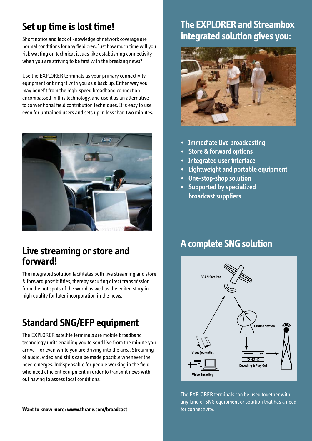### **Set up time is lost time!**

Short notice and lack of knowledge of network coverage are normal conditions for any field crew. Just how much time will you risk wasting on technical issues like establishing connectivity when you are striving to be first with the breaking news?

Use the EXPLORER terminals as your primary connectivity equipment or bring it with you as a back up. Either way you may benefit from the high-speed broadband connection encompassed in this technology, and use it as an alternative to conventional field contribution techniques. It is easy to use even for untrained users and sets up in less than two minutes.



### **Live streaming or store and forward!**

The integrated solution facilitates both live streaming and store & forward possibilities, thereby securing direct transmission from the hot spots of the world as well as the edited story in high quality for later incorporation in the news.

### **Standard SNG/EFP equipment**

The EXPLORER satellite terminals are mobile broadband technology units enabling you to send live from the minute you arrive – or even while you are driving into the area. Streaming of audio, video and stills can be made possible whenever the need emerges. Indispensable for people working in the field who need efficient equipment in order to transmit news without having to assess local conditions.

#### **Want to know more: www.thrane.com/broadcast**

### **The EXPLORER and Streambox integrated solution gives you:**



- **Immediate live broadcasting**
- **Store & forward options**
- **• Integrated user interface**
- **• Lightweight and portable equipment**
- **• One-stop-shop solution**
- **• Supported by specialized broadcast suppliers**

### **A complete SNG solution**



The EXPLORER terminals can be used together with any kind of SNG equipment or solution that has a need for connectivity.